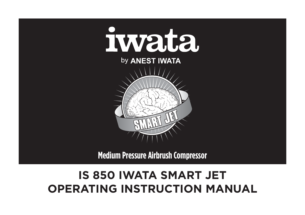

**Medium Pressure Airbrush Compressor**

# **IS 850 IWATA SMART JET OPERATING INSTRUCTION MANUAL**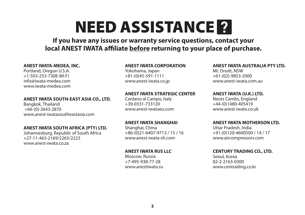# **NEED ASSISTANCE ?**

**If you have any issues or warranty service questions, contact your local ANEST IWATA affiliate before returning to your place of purchase.** 

#### **ANEST IWATA-MEDEA, INC.**

Portland, Oregon U.S.A. +1-503-253-7308 (M-F) info@iwata-medea.com www.iwata-medea.com

#### **ANEST IWATA SOUTH-EAST ASIA CO., LTD.**

Bangkok, Thailand +66-(0)-2643-2870 www.anest-iwatasoutheastasia.com

#### **ANEST IWATA SOUTH AFRICA (PTY) LTD.**

Johannesburg, Republic of South Africa +27-11-463-2169/2265/2223 www.anest-iwata.co.za

#### **ANEST IWATA CORPORATION**

Yokohama, Japan +81-(0)45-591-1111 www.anest-iwata.co.jp

#### **ANEST IWATA STRATEGIC CENTER**

Cardano al Campo, Italy +39-0331-733120 www.anest-iwataeu.com

#### **ANEST IWATA SHANGHAI**

Shanghai, China +86-(0)21-6407-9713 / 15 / 16 www.anest-iwata-sh.com

#### **ANEST IWATA RUS LLC**

Moscow, Russia +7-495-938-77-28 www.anestiwata.ru

#### **ANEST IWATA AUSTRALIA PTY LTD.**

Mt. Druitt, NSW +61-(02)-9853-2000 www.anest-iwata.com.au

#### **ANEST IWATA (U.K.) LTD.**

Neots Cambs, England +44-(0)1480-405419 www.anest-iwata.co.uk

#### **ANEST IWATA MOTHERSON LTD.**

Uttar Pradesh, India +91-(0)120-4600500 / 14 / 17 www.aircompressors.com

#### **CENTURY TRADING CO., LTD.**

Seoul, Korea 82-2-2163-0300 www.centrading.co.kr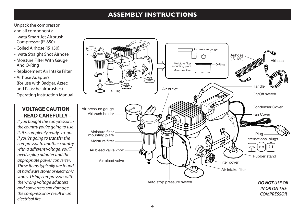### **ASSEMBLY INSTRUCTIONS**

#### Unpack the compressor and all components:

- Iwata Smart Jet Airbrush Compressor (IS 850)
- Coiled Airhose (IS 130)
- Iwata Straight Shot Airhose
- Moisture Filter With Gauge And O-Ring
- Replacement Air Intake Filter
- Airhose Adapters (for use with Badger, Aztec and Paasche airbrushes)
- Operating Instruction Manual

#### **VOLTAGE CAUTION - READ CAREFULLY -**

*If you bought the compressor in the country you're going to use it, it's completely ready- to-go. If you're going to transfer the compressor to another country with a different voltage, you'll need a plug adapter and the appropriate power converter. These items typically are found at hardware stores or electronic stores. Using compressors with the wrong voltage adapters and converters can damage the compressor or result in an electrical fire.*

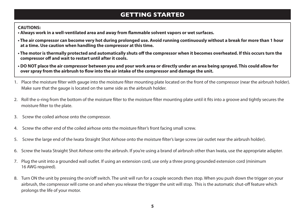## **GETTING STARTED**

**CAUTIONS:** 

- **Always work in a well-ventilated area and away from flammable solvent vapors or wet surfaces.**
- **The air compressor can become very hot during prolonged use. Avoid running continuously without a break for more than 1 hour at a time. Use caution when handling the compressor at this time.**
- **The motor is thermally protected and automatically shuts off the compressor when it becomes overheated. If this occurs turn the compressor off and wait to restart until after it cools.**
- **DO NOT place the air compressor between you and your work area or directly under an area being sprayed. This could allow for over spray from the airbrush to flow into the air intake of the compressor and damage the unit.**
- 1. Place the moisture filter with gauge into the moisture filter mounting plate located on the front of the compressor (near the airbrush holder). Make sure that the gauge is located on the same side as the airbrush holder.
- 2. Roll the o-ring from the bottom of the moisture filter to the moisture filter mounting plate until it fits into a groove and tightly secures the moisture filter to the plate.
- 3. Screw the coiled airhose onto the compressor.
- 4. Screw the other end of the coiled airhose onto the moisture filter's front facing small screw.
- 5. Screw the large end of the Iwata Straight Shot Airhose onto the moisture filter's large screw (air outlet near the airbrush holder).
- 6. Screw the Iwata Straight Shot Airhose onto the airbrush. If you're using a brand of airbrush other than Iwata, use the appropriate adapter.
- 7. Plug the unit into a grounded wall outlet. If using an extension cord, use only a three prong grounded extension cord (minimum 16 AWG required).
- 8. Turn ON the unit by pressing the on/off switch. The unit will run for a couple seconds then stop. When you push down the trigger on your airbrush, the compressor will come on and when you release the trigger the unit will stop. This is the automatic shut-off feature which prolongs the life of your motor.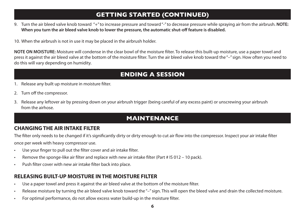# **GETTING STARTED (CONTINUED)**

9. Turn the air bleed valve knob toward "+" to increase pressure and toward "-" to decrease pressure while spraying air from the airbrush. **NOTE: When you turn the air bleed valve knob to lower the pressure, the automatic shut-off feature is disabled.**

10. When the airbrush is not in use it may be placed in the airbrush holder.

**NOTE ON MOISTURE:** Moisture will condense in the clear bowl of the moisture filter. To release this built-up moisture, use a paper towel and press it against the air bleed valve at the bottom of the moisture filter. Turn the air bleed valve knob toward the "–" sign. How often you need to do this will vary depending on humidity.

# **ENDING A SESSION**

- 1. Release any built up moisture in moisture filter.
- 2. Turn off the compressor.
- 3. Release any leftover air by pressing down on your airbrush trigger (being careful of any excess paint) or unscrewing your airbrush from the airhose.

# **MAINTENANCE**

#### **CHANGING THE AIR INTAKE FILTER**

The filter only needs to be changed if it's significantly dirty or dirty enough to cut air flow into the compressor. Inspect your air intake filter once per week with heavy compressor use.

- Use your finger to pull out the filter cover and air intake filter.
- Remove the sponge-like air filter and replace with new air intake filter (Part # IS 012 10 pack).
- Push filter cover with new air intake filter back into place.

#### **RELEASING BUILT-UP MOISTURE IN THE MOISTURE FILTER**

- Use a paper towel and press it against the air bleed valve at the bottom of the moisture filter.
- Release moisture by turning the air bleed valve knob toward the "-" sign. This will open the bleed valve and drain the collected moisture.
- For optimal performance, do not allow excess water build-up in the moisture filter.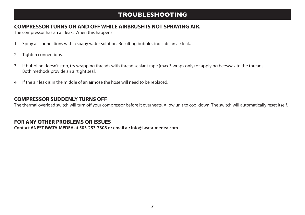## **TROUBLESHOOTING**

#### **COMPRESSOR TURNS ON AND OFF WHILE AIRBRUSH IS NOT SPRAYING AIR.**

The compressor has an air leak. When this happens:

- 1. Spray all connections with a soapy water solution. Resulting bubbles indicate an air leak.
- 2. Tighten connections.
- 3. If bubbling doesn't stop, try wrapping threads with thread sealant tape (max 3 wraps only) or applying beeswax to the threads. Both methods provide an airtight seal.
- 4. If the air leak is in the middle of an airhose the hose will need to be replaced.

#### **COMPRESSOR SUDDENLY TURNS OFF**

The thermal overload switch will turn off your compressor before it overheats. Allow unit to cool down. The switch will automatically reset itself.

#### **FOR ANY OTHER PROBLEMS OR ISSUES**

**Contact ANEST IWATA-MEDEA at 503-253-7308 or email at: info@iwata-medea.com**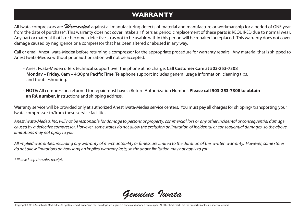# **WARRANTY**

All Iwata compressors are *Warranted* against all manufacturing defects of material and manufacture or workmanship for a period of ONE year from the date of purchase\*. This warranty does not cover intake air filters as periodic replacement of these parts is REQUIRED due to normal wear. Any part or material that is or becomes defective so as not to be usable within this period will be repaired or replaced. This warranty does not cover damage caused by negligence or a compressor that has been altered or abused in any way.

Call or email Anest Iwata-Medea before returning a compressor for the appropriate procedure for warranty repairs. Any material that is shipped to Anest Iwata-Medea without prior authorization will not be accepted.

- Anest Iwata-Medea offers technical support over the phone at no charge. **Call Customer Care at 503-253-7308 Monday – Friday, 8am – 4:30pm Pacific Time.** Telephone support includes general usage information, cleaning tips, and troubleshooting.
- **NOTE:** All compressors returned for repair must have a Return Authorization Number. **Please call 503-253-7308 to obtain an RA number**, instructions and shipping address.

Warranty service will be provided only at authorized Anest Iwata-Medea service centers. You must pay all charges for shipping/ transporting your Iwata compressor to/from these service facilities.

*Anest Iwata-Medea, Inc. will not be responsible for damage to persons or property, commercial loss or any other incidental or consequential damage caused by a defective compressor. However, some states do not allow the exclusion or limitation of incidental or consequential damages, so the above limitations may not apply to you.* 

*All implied warranties, including any warranty of merchantability or fitness are limited to the duration of this written warranty. However, some states do not allow limitations on how long an implied warranty lasts, so the above limitation may not apply to you.*

*\* Please keep the sales receipt.*

*Genuine Iwata*

Copyright © 2016 Anest Iwata-Medea, Inc. All rights reserved. Iwata® and the Iwata logo are registered trademarks of Anest Iwata Japan. All other trademarks are the properties of their respective owners.